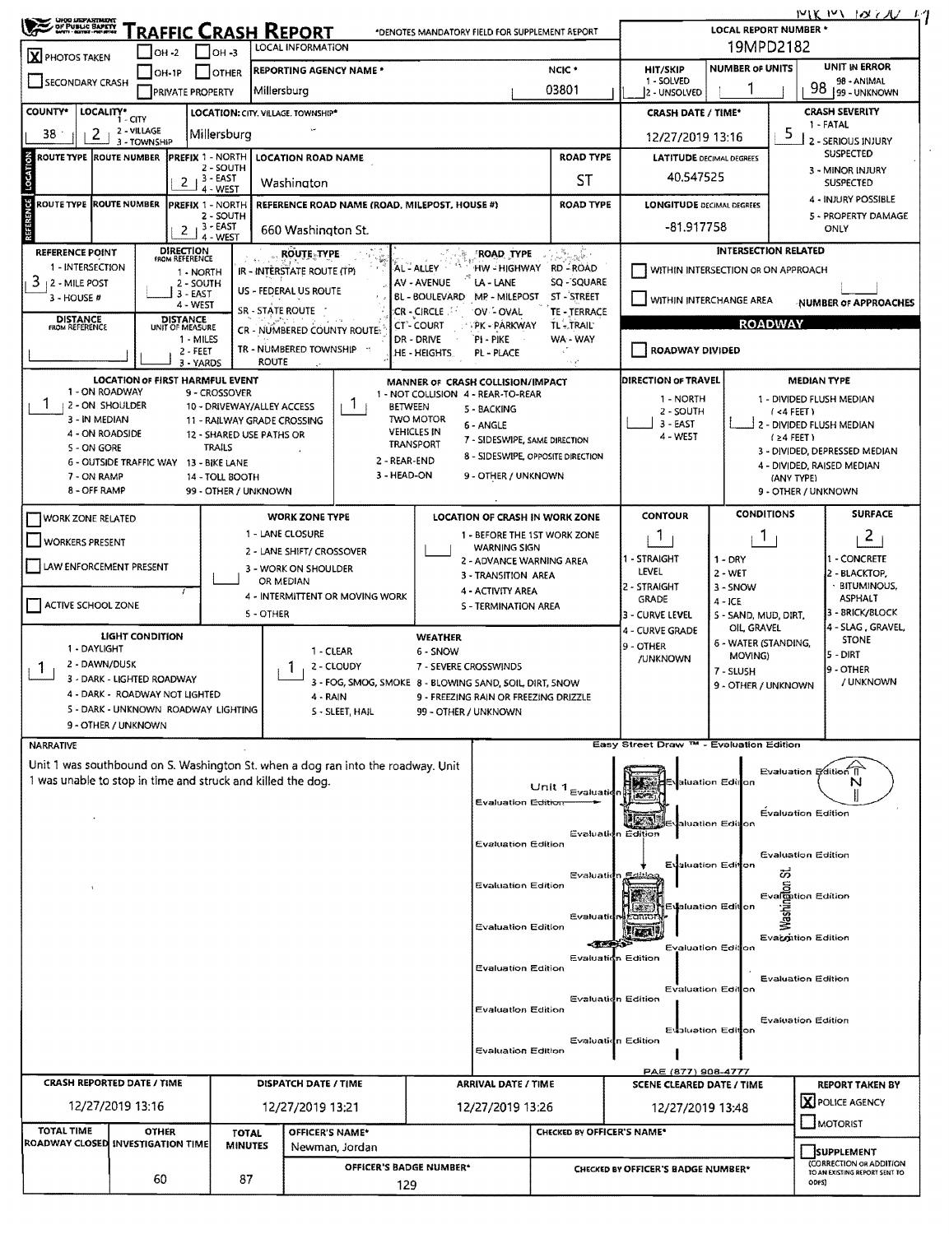| 19MPD2182<br>LOCAL INFORMATION<br>$IOH - 3$<br>$ OH - 2 $<br>X PHOTOS TAKEN<br><b>NUMBER OF UNITS</b><br>NCIC *<br><b>HIT/SKIP</b><br><b>REPORTING AGENCY NAME *</b><br>$OH-1P$<br>I IOTHER<br>1 - SOLVED<br>SECONDARY CRASH<br>98<br>03801<br>Millersburg<br>PRIVATE PROPERTY<br>2 - UNSOLVED<br><b>CRASH SEVERITY</b><br><b>COUNTY*</b><br>LOCALITY* CITY<br>LOCATION: CITY. VILLAGE. TOWNSHIP*<br><b>CRASH DATE / TIME*</b><br>1 - FATAL<br>2 - VILLAGE<br>5<br>38<br>2<br>Millersburg<br>12/27/2019 13:16<br>2 - SERIOUS INJURY<br>3 - TOWNSHIP<br><b>SUSPECTED</b><br><b>ROAD TYPE</b><br>ROUTE TYPE ROUTE NUMBER<br><b>PREFIX 1 - NORTH</b><br><b>LATITUDE DECIMAL DEGREES</b><br><b>LOCATION ROAD NAME</b><br>2 - SOUTH<br>LOCATIV<br>3 - MINOR INJURY<br>40.547525<br>$2$ $3 - EAST$<br>4 - WEST<br>ST<br>Washington<br><b>SUSPECTED</b><br>4 - INJURY POSSIBLE<br>REFERENCE<br>ROUTE TYPE ROUTE NUMBER<br>REFERENCE ROAD NAME (ROAD, MILEPOST, HOUSE #)<br><b>ROAD TYPE</b><br><b>LONGITUDE DECIMAL DEGREES</b><br><b>PREFIX 1 - NORTH</b><br>2 - SOUTH<br>5 - PROPERTY DAMAGE<br>-81.917758<br>$2 + 3 - EAST$<br>ONLY<br>660 Washington St.<br>4 - WEST<br><b>DIRECTION</b><br><b>INTERSECTION RELATED</b><br>ويتفحص يتعقب<br><b>REFERENCE POINT</b><br><b>ROUTE TYPE</b><br><b>ROAD TYPE</b><br><b>FROM REFERENCE</b><br>1 - INTERSECTION<br>AL - ALLEY<br>HW - HIGHWAY<br><b>RD-ROAD</b><br>WITHIN INTERSECTION OR ON APPROACH<br>IR - INTERSTATE ROUTE (TP)<br>1 - NORTH<br>3<br>AV - AVENUE<br>LA - LANE<br>SQ - SQUARE<br>2 - MILE POST<br>2 - SOUTH<br>US - FEDERAL US ROUTE<br>3 - EAST<br>BL - BOULEVARD<br>MP - MILEPOST<br>ST - STREET<br>$3 - HOUSE #$<br>WITHIN INTERCHANGE AREA<br><b>NUMBER OF APPROACHES</b><br>4 - WEST<br>SR - STATE ROUTE<br>CR - CIRCLE<br>OV - OVAL<br>TE - TERRACE<br><b>DISTANCE</b><br>FROM REFERENCE<br>DISTANCE<br>UNIT OF MEASURE<br><b>ROADWAY</b><br>PK - PARKWAY<br>TL-TRAIL<br>CT <sup>2</sup> - COURT<br>CR - NUMBERED COUNTY ROUTE<br>1 - MILES<br>PI - PIKE<br>WA - WAY<br>DR - DRIVE<br>TR - NUMBERED TOWNSHIP ::<br>ROADWAY DIVIDED<br>уf<br>2 - FEET<br>.he - Heights.<br>PL - PLACE<br>ROUTE<br>in yh<br>3 - YARDS<br>LOCATION OF FIRST HARMFUL EVENT<br>DIRECTION OF TRAVEL<br><b>MEDIAN TYPE</b><br>MANNER OF CRASH COLLISION/IMPACT<br>1 - ON ROADWAY<br>9 - CROSSOVER<br>1 - NOT COLLISION 4 - REAR-TO-REAR<br>1 - NORTH<br>1 - DIVIDED FLUSH MEDIAN<br>Ŧ<br>T<br>2 - ON SHOULDER<br>10 - DRIVEWAY/ALLEY ACCESS<br>BETWEEN<br>5 - BACKING<br>2 - SOUTH<br>(4 FET)<br>3 - IN MEDIAN<br><b>TWO MOTOR</b><br>11 - RAILWAY GRADE CROSSING<br>3 - EAST<br>6 - ANGLE<br>2 - DIVIDED FLUSH MEDIAN<br><b>VEHICLES IN</b><br>4 - ON ROADSIDE<br>12 - SHARED USE PATHS OR<br>4 - WEST<br>$(24$ FEET)<br>7 - SIDESWIPE, SAME DIRECTION<br><b>TRANSPORT</b><br>TRAILS<br>5 - ON GORE<br>3 - DIVIDED, DEPRESSED MEDIAN<br>8 - SIDESWIPE, OPPOSITE DIRECTION<br>2 - REAR-END<br>6 - OUTSIDE TRAFFIC WAY 13 - BIKE LANE<br>4 - DIVIDED, RAISED MEDIAN<br>3 - HEAD-ON<br>9 - OTHER / UNKNOWN<br>7 - ON RAMP<br>14 - TOLL BOOTH<br>(ANY TYPE)<br>8 - OFF RAMP<br>99 - OTHER / UNKNOWN<br>9 - OTHER / UNKNOWN<br><b>CONDITIONS</b><br><b>CONTOUR</b><br>WORK ZONE TYPE<br><b>LOCATION OF CRASH IN WORK ZONE</b><br><b>WORK ZONE RELATED</b><br>1 - LANE CLOSURE<br>1 - BEFORE THE 1ST WORK ZONE<br>П.<br>T<br>WORKERS PRESENT<br><b>WARNING SIGN</b><br>2 - LANE SHIFT/ CROSSOVER<br>- CONCRETE<br>1 - STRAIGHT<br>$1 - DRY$<br>2 - ADVANCE WARNING AREA<br>LAW ENFORCEMENT PRESENT<br>3 - WORK ON SHOULDER<br>LEVEL<br>$2 - WET$<br>2 - BLACKTOP,<br>3 - TRANSITION AREA<br>OR MEDIAN<br>· BITUMINOUS,<br>2 - STRAIGHT<br>3 - SNOW<br>4 - ACTIVITY AREA<br>4 - INTERMITTENT OR MOVING WORK<br><b>ASPHALT</b><br><b>GRADE</b><br>$4 - ICE$<br>ACTIVE SCHOOL ZONE<br>S - TERMINATION AREA<br>3 - BRICK/BLOCK<br>5 - OTHER<br>3 - CURVE LEVEL<br>5 - SAND, MUD, DIRT,<br>4 - SLAG, GRAVEL,<br>OIL, GRAVEL<br>4 - CURVE GRADE<br><b>LIGHT CONDITION</b><br>WEATHER<br><b>STONE</b><br>6 - WATER (STANDING,<br>9 - OTHER<br>1 - DAYLIGHT<br>1 - CLEAR<br>6 - SNOW<br>5 - DIRT<br>MOVING)<br>/UNKNOWN<br>2 - DAWN/DUSK<br>2 - CLOUDY<br>7 - SEVERE CROSSWINDS<br>9 - OTHER<br>$\mathbf{I}$<br>7 - SLUSH<br>3 - DARK - LIGHTED ROADWAY<br>3 - FOG, SMOG, SMOKE 8 - BLOWING SAND, SOIL DIRT, SNOW<br>9 - OTHER / UNKNOWN<br>4 - DARK - ROADWAY NOT LIGHTED<br>4 - RAIN<br>9 - FREEZING RAIN OR FREEZING DRIZZLE<br>5 - DARK - UNKNOWN ROADWAY LIGHTING<br>S - SLEET, HAIL<br>99 - OTHER / UNKNOWN<br>9 - OTHER / UNKNOWN<br>Easy Street Draw ™ - Evaluation Edition<br><b>NARRATIVE</b><br>Unit 1 was southbound on S. Washington St. when a dog ran into the roadway. Unit<br>Evaluation Edition II<br>1 was unable to stop in time and struck and killed the dog.<br>Natuation Edit <mark>ion</mark><br>N<br>Unit 1 Evaluation<br><b>Evaluation Edition</b><br><b>Evaluation Edition</b><br>∃√aluation Edit <mark>i</mark> on<br>Evaluation Edition<br><b>Evaluation Edition</b><br><b>Evaluation Edition</b><br>Eusiuation Edition<br>ΰõ<br>Evaluatio<br><b>Evaluation Edition</b><br><b>Evalon Edition</b><br>[建築] HE Jaluation Edition<br>Evaluatio<br>Vrantor<br><b>Evaluation Edition</b><br><b>Lineal</b><br>Evatoition Edition<br>-333<br><b>Evaluation Edition</b><br>Evaluation Edition<br><b>Evaluation Edition</b><br><b>Evaluation Edition</b><br>Evaluation Editon<br>Evaluation Edition<br>Evaluation Edition<br><b>Evaluation Edition</b> | MIK MY 10271 17                                     |  |  |
|------------------------------------------------------------------------------------------------------------------------------------------------------------------------------------------------------------------------------------------------------------------------------------------------------------------------------------------------------------------------------------------------------------------------------------------------------------------------------------------------------------------------------------------------------------------------------------------------------------------------------------------------------------------------------------------------------------------------------------------------------------------------------------------------------------------------------------------------------------------------------------------------------------------------------------------------------------------------------------------------------------------------------------------------------------------------------------------------------------------------------------------------------------------------------------------------------------------------------------------------------------------------------------------------------------------------------------------------------------------------------------------------------------------------------------------------------------------------------------------------------------------------------------------------------------------------------------------------------------------------------------------------------------------------------------------------------------------------------------------------------------------------------------------------------------------------------------------------------------------------------------------------------------------------------------------------------------------------------------------------------------------------------------------------------------------------------------------------------------------------------------------------------------------------------------------------------------------------------------------------------------------------------------------------------------------------------------------------------------------------------------------------------------------------------------------------------------------------------------------------------------------------------------------------------------------------------------------------------------------------------------------------------------------------------------------------------------------------------------------------------------------------------------------------------------------------------------------------------------------------------------------------------------------------------------------------------------------------------------------------------------------------------------------------------------------------------------------------------------------------------------------------------------------------------------------------------------------------------------------------------------------------------------------------------------------------------------------------------------------------------------------------------------------------------------------------------------------------------------------------------------------------------------------------------------------------------------------------------------------------------------------------------------------------------------------------------------------------------------------------------------------------------------------------------------------------------------------------------------------------------------------------------------------------------------------------------------------------------------------------------------------------------------------------------------------------------------------------------------------------------------------------------------------------------------------------------------------------------------------------------------------------------------------------------------------------------------------------------------------------------------------------------------------------------------------------------------------------------------------------------------------------------------------------------------------------------------------------------------------------------------------------------------------------------------------------------------------------------------------------------------------------------------------------------------------------------------------------------------------------------------------------------------------------------------------------------------------------------------------------------------------------------------------------------------------------------------------------------------------------------------------------------------------------------------------------------------------------------------------------------------------------------------------------------------------------------------------------------------------------------------------------------------------------------------------------------------------------------------------------------|-----------------------------------------------------|--|--|
|                                                                                                                                                                                                                                                                                                                                                                                                                                                                                                                                                                                                                                                                                                                                                                                                                                                                                                                                                                                                                                                                                                                                                                                                                                                                                                                                                                                                                                                                                                                                                                                                                                                                                                                                                                                                                                                                                                                                                                                                                                                                                                                                                                                                                                                                                                                                                                                                                                                                                                                                                                                                                                                                                                                                                                                                                                                                                                                                                                                                                                                                                                                                                                                                                                                                                                                                                                                                                                                                                                                                                                                                                                                                                                                                                                                                                                                                                                                                                                                                                                                                                                                                                                                                                                                                                                                                                                                                                                                                                                                                                                                                                                                                                                                                                                                                                                                                                                                                                                                                                                                                                                                                                                                                                                                                                                                                                                                                                                                                                                      |                                                     |  |  |
|                                                                                                                                                                                                                                                                                                                                                                                                                                                                                                                                                                                                                                                                                                                                                                                                                                                                                                                                                                                                                                                                                                                                                                                                                                                                                                                                                                                                                                                                                                                                                                                                                                                                                                                                                                                                                                                                                                                                                                                                                                                                                                                                                                                                                                                                                                                                                                                                                                                                                                                                                                                                                                                                                                                                                                                                                                                                                                                                                                                                                                                                                                                                                                                                                                                                                                                                                                                                                                                                                                                                                                                                                                                                                                                                                                                                                                                                                                                                                                                                                                                                                                                                                                                                                                                                                                                                                                                                                                                                                                                                                                                                                                                                                                                                                                                                                                                                                                                                                                                                                                                                                                                                                                                                                                                                                                                                                                                                                                                                                                      | <b>UNIT IN ERROR</b><br>98 - ANIMAL<br>99 - UNKNOWN |  |  |
|                                                                                                                                                                                                                                                                                                                                                                                                                                                                                                                                                                                                                                                                                                                                                                                                                                                                                                                                                                                                                                                                                                                                                                                                                                                                                                                                                                                                                                                                                                                                                                                                                                                                                                                                                                                                                                                                                                                                                                                                                                                                                                                                                                                                                                                                                                                                                                                                                                                                                                                                                                                                                                                                                                                                                                                                                                                                                                                                                                                                                                                                                                                                                                                                                                                                                                                                                                                                                                                                                                                                                                                                                                                                                                                                                                                                                                                                                                                                                                                                                                                                                                                                                                                                                                                                                                                                                                                                                                                                                                                                                                                                                                                                                                                                                                                                                                                                                                                                                                                                                                                                                                                                                                                                                                                                                                                                                                                                                                                                                                      |                                                     |  |  |
|                                                                                                                                                                                                                                                                                                                                                                                                                                                                                                                                                                                                                                                                                                                                                                                                                                                                                                                                                                                                                                                                                                                                                                                                                                                                                                                                                                                                                                                                                                                                                                                                                                                                                                                                                                                                                                                                                                                                                                                                                                                                                                                                                                                                                                                                                                                                                                                                                                                                                                                                                                                                                                                                                                                                                                                                                                                                                                                                                                                                                                                                                                                                                                                                                                                                                                                                                                                                                                                                                                                                                                                                                                                                                                                                                                                                                                                                                                                                                                                                                                                                                                                                                                                                                                                                                                                                                                                                                                                                                                                                                                                                                                                                                                                                                                                                                                                                                                                                                                                                                                                                                                                                                                                                                                                                                                                                                                                                                                                                                                      |                                                     |  |  |
|                                                                                                                                                                                                                                                                                                                                                                                                                                                                                                                                                                                                                                                                                                                                                                                                                                                                                                                                                                                                                                                                                                                                                                                                                                                                                                                                                                                                                                                                                                                                                                                                                                                                                                                                                                                                                                                                                                                                                                                                                                                                                                                                                                                                                                                                                                                                                                                                                                                                                                                                                                                                                                                                                                                                                                                                                                                                                                                                                                                                                                                                                                                                                                                                                                                                                                                                                                                                                                                                                                                                                                                                                                                                                                                                                                                                                                                                                                                                                                                                                                                                                                                                                                                                                                                                                                                                                                                                                                                                                                                                                                                                                                                                                                                                                                                                                                                                                                                                                                                                                                                                                                                                                                                                                                                                                                                                                                                                                                                                                                      |                                                     |  |  |
|                                                                                                                                                                                                                                                                                                                                                                                                                                                                                                                                                                                                                                                                                                                                                                                                                                                                                                                                                                                                                                                                                                                                                                                                                                                                                                                                                                                                                                                                                                                                                                                                                                                                                                                                                                                                                                                                                                                                                                                                                                                                                                                                                                                                                                                                                                                                                                                                                                                                                                                                                                                                                                                                                                                                                                                                                                                                                                                                                                                                                                                                                                                                                                                                                                                                                                                                                                                                                                                                                                                                                                                                                                                                                                                                                                                                                                                                                                                                                                                                                                                                                                                                                                                                                                                                                                                                                                                                                                                                                                                                                                                                                                                                                                                                                                                                                                                                                                                                                                                                                                                                                                                                                                                                                                                                                                                                                                                                                                                                                                      |                                                     |  |  |
|                                                                                                                                                                                                                                                                                                                                                                                                                                                                                                                                                                                                                                                                                                                                                                                                                                                                                                                                                                                                                                                                                                                                                                                                                                                                                                                                                                                                                                                                                                                                                                                                                                                                                                                                                                                                                                                                                                                                                                                                                                                                                                                                                                                                                                                                                                                                                                                                                                                                                                                                                                                                                                                                                                                                                                                                                                                                                                                                                                                                                                                                                                                                                                                                                                                                                                                                                                                                                                                                                                                                                                                                                                                                                                                                                                                                                                                                                                                                                                                                                                                                                                                                                                                                                                                                                                                                                                                                                                                                                                                                                                                                                                                                                                                                                                                                                                                                                                                                                                                                                                                                                                                                                                                                                                                                                                                                                                                                                                                                                                      |                                                     |  |  |
|                                                                                                                                                                                                                                                                                                                                                                                                                                                                                                                                                                                                                                                                                                                                                                                                                                                                                                                                                                                                                                                                                                                                                                                                                                                                                                                                                                                                                                                                                                                                                                                                                                                                                                                                                                                                                                                                                                                                                                                                                                                                                                                                                                                                                                                                                                                                                                                                                                                                                                                                                                                                                                                                                                                                                                                                                                                                                                                                                                                                                                                                                                                                                                                                                                                                                                                                                                                                                                                                                                                                                                                                                                                                                                                                                                                                                                                                                                                                                                                                                                                                                                                                                                                                                                                                                                                                                                                                                                                                                                                                                                                                                                                                                                                                                                                                                                                                                                                                                                                                                                                                                                                                                                                                                                                                                                                                                                                                                                                                                                      |                                                     |  |  |
|                                                                                                                                                                                                                                                                                                                                                                                                                                                                                                                                                                                                                                                                                                                                                                                                                                                                                                                                                                                                                                                                                                                                                                                                                                                                                                                                                                                                                                                                                                                                                                                                                                                                                                                                                                                                                                                                                                                                                                                                                                                                                                                                                                                                                                                                                                                                                                                                                                                                                                                                                                                                                                                                                                                                                                                                                                                                                                                                                                                                                                                                                                                                                                                                                                                                                                                                                                                                                                                                                                                                                                                                                                                                                                                                                                                                                                                                                                                                                                                                                                                                                                                                                                                                                                                                                                                                                                                                                                                                                                                                                                                                                                                                                                                                                                                                                                                                                                                                                                                                                                                                                                                                                                                                                                                                                                                                                                                                                                                                                                      |                                                     |  |  |
|                                                                                                                                                                                                                                                                                                                                                                                                                                                                                                                                                                                                                                                                                                                                                                                                                                                                                                                                                                                                                                                                                                                                                                                                                                                                                                                                                                                                                                                                                                                                                                                                                                                                                                                                                                                                                                                                                                                                                                                                                                                                                                                                                                                                                                                                                                                                                                                                                                                                                                                                                                                                                                                                                                                                                                                                                                                                                                                                                                                                                                                                                                                                                                                                                                                                                                                                                                                                                                                                                                                                                                                                                                                                                                                                                                                                                                                                                                                                                                                                                                                                                                                                                                                                                                                                                                                                                                                                                                                                                                                                                                                                                                                                                                                                                                                                                                                                                                                                                                                                                                                                                                                                                                                                                                                                                                                                                                                                                                                                                                      |                                                     |  |  |
|                                                                                                                                                                                                                                                                                                                                                                                                                                                                                                                                                                                                                                                                                                                                                                                                                                                                                                                                                                                                                                                                                                                                                                                                                                                                                                                                                                                                                                                                                                                                                                                                                                                                                                                                                                                                                                                                                                                                                                                                                                                                                                                                                                                                                                                                                                                                                                                                                                                                                                                                                                                                                                                                                                                                                                                                                                                                                                                                                                                                                                                                                                                                                                                                                                                                                                                                                                                                                                                                                                                                                                                                                                                                                                                                                                                                                                                                                                                                                                                                                                                                                                                                                                                                                                                                                                                                                                                                                                                                                                                                                                                                                                                                                                                                                                                                                                                                                                                                                                                                                                                                                                                                                                                                                                                                                                                                                                                                                                                                                                      |                                                     |  |  |
|                                                                                                                                                                                                                                                                                                                                                                                                                                                                                                                                                                                                                                                                                                                                                                                                                                                                                                                                                                                                                                                                                                                                                                                                                                                                                                                                                                                                                                                                                                                                                                                                                                                                                                                                                                                                                                                                                                                                                                                                                                                                                                                                                                                                                                                                                                                                                                                                                                                                                                                                                                                                                                                                                                                                                                                                                                                                                                                                                                                                                                                                                                                                                                                                                                                                                                                                                                                                                                                                                                                                                                                                                                                                                                                                                                                                                                                                                                                                                                                                                                                                                                                                                                                                                                                                                                                                                                                                                                                                                                                                                                                                                                                                                                                                                                                                                                                                                                                                                                                                                                                                                                                                                                                                                                                                                                                                                                                                                                                                                                      |                                                     |  |  |
|                                                                                                                                                                                                                                                                                                                                                                                                                                                                                                                                                                                                                                                                                                                                                                                                                                                                                                                                                                                                                                                                                                                                                                                                                                                                                                                                                                                                                                                                                                                                                                                                                                                                                                                                                                                                                                                                                                                                                                                                                                                                                                                                                                                                                                                                                                                                                                                                                                                                                                                                                                                                                                                                                                                                                                                                                                                                                                                                                                                                                                                                                                                                                                                                                                                                                                                                                                                                                                                                                                                                                                                                                                                                                                                                                                                                                                                                                                                                                                                                                                                                                                                                                                                                                                                                                                                                                                                                                                                                                                                                                                                                                                                                                                                                                                                                                                                                                                                                                                                                                                                                                                                                                                                                                                                                                                                                                                                                                                                                                                      |                                                     |  |  |
|                                                                                                                                                                                                                                                                                                                                                                                                                                                                                                                                                                                                                                                                                                                                                                                                                                                                                                                                                                                                                                                                                                                                                                                                                                                                                                                                                                                                                                                                                                                                                                                                                                                                                                                                                                                                                                                                                                                                                                                                                                                                                                                                                                                                                                                                                                                                                                                                                                                                                                                                                                                                                                                                                                                                                                                                                                                                                                                                                                                                                                                                                                                                                                                                                                                                                                                                                                                                                                                                                                                                                                                                                                                                                                                                                                                                                                                                                                                                                                                                                                                                                                                                                                                                                                                                                                                                                                                                                                                                                                                                                                                                                                                                                                                                                                                                                                                                                                                                                                                                                                                                                                                                                                                                                                                                                                                                                                                                                                                                                                      |                                                     |  |  |
|                                                                                                                                                                                                                                                                                                                                                                                                                                                                                                                                                                                                                                                                                                                                                                                                                                                                                                                                                                                                                                                                                                                                                                                                                                                                                                                                                                                                                                                                                                                                                                                                                                                                                                                                                                                                                                                                                                                                                                                                                                                                                                                                                                                                                                                                                                                                                                                                                                                                                                                                                                                                                                                                                                                                                                                                                                                                                                                                                                                                                                                                                                                                                                                                                                                                                                                                                                                                                                                                                                                                                                                                                                                                                                                                                                                                                                                                                                                                                                                                                                                                                                                                                                                                                                                                                                                                                                                                                                                                                                                                                                                                                                                                                                                                                                                                                                                                                                                                                                                                                                                                                                                                                                                                                                                                                                                                                                                                                                                                                                      |                                                     |  |  |
|                                                                                                                                                                                                                                                                                                                                                                                                                                                                                                                                                                                                                                                                                                                                                                                                                                                                                                                                                                                                                                                                                                                                                                                                                                                                                                                                                                                                                                                                                                                                                                                                                                                                                                                                                                                                                                                                                                                                                                                                                                                                                                                                                                                                                                                                                                                                                                                                                                                                                                                                                                                                                                                                                                                                                                                                                                                                                                                                                                                                                                                                                                                                                                                                                                                                                                                                                                                                                                                                                                                                                                                                                                                                                                                                                                                                                                                                                                                                                                                                                                                                                                                                                                                                                                                                                                                                                                                                                                                                                                                                                                                                                                                                                                                                                                                                                                                                                                                                                                                                                                                                                                                                                                                                                                                                                                                                                                                                                                                                                                      |                                                     |  |  |
|                                                                                                                                                                                                                                                                                                                                                                                                                                                                                                                                                                                                                                                                                                                                                                                                                                                                                                                                                                                                                                                                                                                                                                                                                                                                                                                                                                                                                                                                                                                                                                                                                                                                                                                                                                                                                                                                                                                                                                                                                                                                                                                                                                                                                                                                                                                                                                                                                                                                                                                                                                                                                                                                                                                                                                                                                                                                                                                                                                                                                                                                                                                                                                                                                                                                                                                                                                                                                                                                                                                                                                                                                                                                                                                                                                                                                                                                                                                                                                                                                                                                                                                                                                                                                                                                                                                                                                                                                                                                                                                                                                                                                                                                                                                                                                                                                                                                                                                                                                                                                                                                                                                                                                                                                                                                                                                                                                                                                                                                                                      |                                                     |  |  |
|                                                                                                                                                                                                                                                                                                                                                                                                                                                                                                                                                                                                                                                                                                                                                                                                                                                                                                                                                                                                                                                                                                                                                                                                                                                                                                                                                                                                                                                                                                                                                                                                                                                                                                                                                                                                                                                                                                                                                                                                                                                                                                                                                                                                                                                                                                                                                                                                                                                                                                                                                                                                                                                                                                                                                                                                                                                                                                                                                                                                                                                                                                                                                                                                                                                                                                                                                                                                                                                                                                                                                                                                                                                                                                                                                                                                                                                                                                                                                                                                                                                                                                                                                                                                                                                                                                                                                                                                                                                                                                                                                                                                                                                                                                                                                                                                                                                                                                                                                                                                                                                                                                                                                                                                                                                                                                                                                                                                                                                                                                      |                                                     |  |  |
|                                                                                                                                                                                                                                                                                                                                                                                                                                                                                                                                                                                                                                                                                                                                                                                                                                                                                                                                                                                                                                                                                                                                                                                                                                                                                                                                                                                                                                                                                                                                                                                                                                                                                                                                                                                                                                                                                                                                                                                                                                                                                                                                                                                                                                                                                                                                                                                                                                                                                                                                                                                                                                                                                                                                                                                                                                                                                                                                                                                                                                                                                                                                                                                                                                                                                                                                                                                                                                                                                                                                                                                                                                                                                                                                                                                                                                                                                                                                                                                                                                                                                                                                                                                                                                                                                                                                                                                                                                                                                                                                                                                                                                                                                                                                                                                                                                                                                                                                                                                                                                                                                                                                                                                                                                                                                                                                                                                                                                                                                                      |                                                     |  |  |
|                                                                                                                                                                                                                                                                                                                                                                                                                                                                                                                                                                                                                                                                                                                                                                                                                                                                                                                                                                                                                                                                                                                                                                                                                                                                                                                                                                                                                                                                                                                                                                                                                                                                                                                                                                                                                                                                                                                                                                                                                                                                                                                                                                                                                                                                                                                                                                                                                                                                                                                                                                                                                                                                                                                                                                                                                                                                                                                                                                                                                                                                                                                                                                                                                                                                                                                                                                                                                                                                                                                                                                                                                                                                                                                                                                                                                                                                                                                                                                                                                                                                                                                                                                                                                                                                                                                                                                                                                                                                                                                                                                                                                                                                                                                                                                                                                                                                                                                                                                                                                                                                                                                                                                                                                                                                                                                                                                                                                                                                                                      | <b>SURFACE</b>                                      |  |  |
|                                                                                                                                                                                                                                                                                                                                                                                                                                                                                                                                                                                                                                                                                                                                                                                                                                                                                                                                                                                                                                                                                                                                                                                                                                                                                                                                                                                                                                                                                                                                                                                                                                                                                                                                                                                                                                                                                                                                                                                                                                                                                                                                                                                                                                                                                                                                                                                                                                                                                                                                                                                                                                                                                                                                                                                                                                                                                                                                                                                                                                                                                                                                                                                                                                                                                                                                                                                                                                                                                                                                                                                                                                                                                                                                                                                                                                                                                                                                                                                                                                                                                                                                                                                                                                                                                                                                                                                                                                                                                                                                                                                                                                                                                                                                                                                                                                                                                                                                                                                                                                                                                                                                                                                                                                                                                                                                                                                                                                                                                                      | $\overline{2}$                                      |  |  |
|                                                                                                                                                                                                                                                                                                                                                                                                                                                                                                                                                                                                                                                                                                                                                                                                                                                                                                                                                                                                                                                                                                                                                                                                                                                                                                                                                                                                                                                                                                                                                                                                                                                                                                                                                                                                                                                                                                                                                                                                                                                                                                                                                                                                                                                                                                                                                                                                                                                                                                                                                                                                                                                                                                                                                                                                                                                                                                                                                                                                                                                                                                                                                                                                                                                                                                                                                                                                                                                                                                                                                                                                                                                                                                                                                                                                                                                                                                                                                                                                                                                                                                                                                                                                                                                                                                                                                                                                                                                                                                                                                                                                                                                                                                                                                                                                                                                                                                                                                                                                                                                                                                                                                                                                                                                                                                                                                                                                                                                                                                      |                                                     |  |  |
|                                                                                                                                                                                                                                                                                                                                                                                                                                                                                                                                                                                                                                                                                                                                                                                                                                                                                                                                                                                                                                                                                                                                                                                                                                                                                                                                                                                                                                                                                                                                                                                                                                                                                                                                                                                                                                                                                                                                                                                                                                                                                                                                                                                                                                                                                                                                                                                                                                                                                                                                                                                                                                                                                                                                                                                                                                                                                                                                                                                                                                                                                                                                                                                                                                                                                                                                                                                                                                                                                                                                                                                                                                                                                                                                                                                                                                                                                                                                                                                                                                                                                                                                                                                                                                                                                                                                                                                                                                                                                                                                                                                                                                                                                                                                                                                                                                                                                                                                                                                                                                                                                                                                                                                                                                                                                                                                                                                                                                                                                                      |                                                     |  |  |
|                                                                                                                                                                                                                                                                                                                                                                                                                                                                                                                                                                                                                                                                                                                                                                                                                                                                                                                                                                                                                                                                                                                                                                                                                                                                                                                                                                                                                                                                                                                                                                                                                                                                                                                                                                                                                                                                                                                                                                                                                                                                                                                                                                                                                                                                                                                                                                                                                                                                                                                                                                                                                                                                                                                                                                                                                                                                                                                                                                                                                                                                                                                                                                                                                                                                                                                                                                                                                                                                                                                                                                                                                                                                                                                                                                                                                                                                                                                                                                                                                                                                                                                                                                                                                                                                                                                                                                                                                                                                                                                                                                                                                                                                                                                                                                                                                                                                                                                                                                                                                                                                                                                                                                                                                                                                                                                                                                                                                                                                                                      |                                                     |  |  |
|                                                                                                                                                                                                                                                                                                                                                                                                                                                                                                                                                                                                                                                                                                                                                                                                                                                                                                                                                                                                                                                                                                                                                                                                                                                                                                                                                                                                                                                                                                                                                                                                                                                                                                                                                                                                                                                                                                                                                                                                                                                                                                                                                                                                                                                                                                                                                                                                                                                                                                                                                                                                                                                                                                                                                                                                                                                                                                                                                                                                                                                                                                                                                                                                                                                                                                                                                                                                                                                                                                                                                                                                                                                                                                                                                                                                                                                                                                                                                                                                                                                                                                                                                                                                                                                                                                                                                                                                                                                                                                                                                                                                                                                                                                                                                                                                                                                                                                                                                                                                                                                                                                                                                                                                                                                                                                                                                                                                                                                                                                      |                                                     |  |  |
|                                                                                                                                                                                                                                                                                                                                                                                                                                                                                                                                                                                                                                                                                                                                                                                                                                                                                                                                                                                                                                                                                                                                                                                                                                                                                                                                                                                                                                                                                                                                                                                                                                                                                                                                                                                                                                                                                                                                                                                                                                                                                                                                                                                                                                                                                                                                                                                                                                                                                                                                                                                                                                                                                                                                                                                                                                                                                                                                                                                                                                                                                                                                                                                                                                                                                                                                                                                                                                                                                                                                                                                                                                                                                                                                                                                                                                                                                                                                                                                                                                                                                                                                                                                                                                                                                                                                                                                                                                                                                                                                                                                                                                                                                                                                                                                                                                                                                                                                                                                                                                                                                                                                                                                                                                                                                                                                                                                                                                                                                                      |                                                     |  |  |
|                                                                                                                                                                                                                                                                                                                                                                                                                                                                                                                                                                                                                                                                                                                                                                                                                                                                                                                                                                                                                                                                                                                                                                                                                                                                                                                                                                                                                                                                                                                                                                                                                                                                                                                                                                                                                                                                                                                                                                                                                                                                                                                                                                                                                                                                                                                                                                                                                                                                                                                                                                                                                                                                                                                                                                                                                                                                                                                                                                                                                                                                                                                                                                                                                                                                                                                                                                                                                                                                                                                                                                                                                                                                                                                                                                                                                                                                                                                                                                                                                                                                                                                                                                                                                                                                                                                                                                                                                                                                                                                                                                                                                                                                                                                                                                                                                                                                                                                                                                                                                                                                                                                                                                                                                                                                                                                                                                                                                                                                                                      |                                                     |  |  |
|                                                                                                                                                                                                                                                                                                                                                                                                                                                                                                                                                                                                                                                                                                                                                                                                                                                                                                                                                                                                                                                                                                                                                                                                                                                                                                                                                                                                                                                                                                                                                                                                                                                                                                                                                                                                                                                                                                                                                                                                                                                                                                                                                                                                                                                                                                                                                                                                                                                                                                                                                                                                                                                                                                                                                                                                                                                                                                                                                                                                                                                                                                                                                                                                                                                                                                                                                                                                                                                                                                                                                                                                                                                                                                                                                                                                                                                                                                                                                                                                                                                                                                                                                                                                                                                                                                                                                                                                                                                                                                                                                                                                                                                                                                                                                                                                                                                                                                                                                                                                                                                                                                                                                                                                                                                                                                                                                                                                                                                                                                      | / UNKNOWN                                           |  |  |
|                                                                                                                                                                                                                                                                                                                                                                                                                                                                                                                                                                                                                                                                                                                                                                                                                                                                                                                                                                                                                                                                                                                                                                                                                                                                                                                                                                                                                                                                                                                                                                                                                                                                                                                                                                                                                                                                                                                                                                                                                                                                                                                                                                                                                                                                                                                                                                                                                                                                                                                                                                                                                                                                                                                                                                                                                                                                                                                                                                                                                                                                                                                                                                                                                                                                                                                                                                                                                                                                                                                                                                                                                                                                                                                                                                                                                                                                                                                                                                                                                                                                                                                                                                                                                                                                                                                                                                                                                                                                                                                                                                                                                                                                                                                                                                                                                                                                                                                                                                                                                                                                                                                                                                                                                                                                                                                                                                                                                                                                                                      |                                                     |  |  |
|                                                                                                                                                                                                                                                                                                                                                                                                                                                                                                                                                                                                                                                                                                                                                                                                                                                                                                                                                                                                                                                                                                                                                                                                                                                                                                                                                                                                                                                                                                                                                                                                                                                                                                                                                                                                                                                                                                                                                                                                                                                                                                                                                                                                                                                                                                                                                                                                                                                                                                                                                                                                                                                                                                                                                                                                                                                                                                                                                                                                                                                                                                                                                                                                                                                                                                                                                                                                                                                                                                                                                                                                                                                                                                                                                                                                                                                                                                                                                                                                                                                                                                                                                                                                                                                                                                                                                                                                                                                                                                                                                                                                                                                                                                                                                                                                                                                                                                                                                                                                                                                                                                                                                                                                                                                                                                                                                                                                                                                                                                      |                                                     |  |  |
|                                                                                                                                                                                                                                                                                                                                                                                                                                                                                                                                                                                                                                                                                                                                                                                                                                                                                                                                                                                                                                                                                                                                                                                                                                                                                                                                                                                                                                                                                                                                                                                                                                                                                                                                                                                                                                                                                                                                                                                                                                                                                                                                                                                                                                                                                                                                                                                                                                                                                                                                                                                                                                                                                                                                                                                                                                                                                                                                                                                                                                                                                                                                                                                                                                                                                                                                                                                                                                                                                                                                                                                                                                                                                                                                                                                                                                                                                                                                                                                                                                                                                                                                                                                                                                                                                                                                                                                                                                                                                                                                                                                                                                                                                                                                                                                                                                                                                                                                                                                                                                                                                                                                                                                                                                                                                                                                                                                                                                                                                                      |                                                     |  |  |
|                                                                                                                                                                                                                                                                                                                                                                                                                                                                                                                                                                                                                                                                                                                                                                                                                                                                                                                                                                                                                                                                                                                                                                                                                                                                                                                                                                                                                                                                                                                                                                                                                                                                                                                                                                                                                                                                                                                                                                                                                                                                                                                                                                                                                                                                                                                                                                                                                                                                                                                                                                                                                                                                                                                                                                                                                                                                                                                                                                                                                                                                                                                                                                                                                                                                                                                                                                                                                                                                                                                                                                                                                                                                                                                                                                                                                                                                                                                                                                                                                                                                                                                                                                                                                                                                                                                                                                                                                                                                                                                                                                                                                                                                                                                                                                                                                                                                                                                                                                                                                                                                                                                                                                                                                                                                                                                                                                                                                                                                                                      |                                                     |  |  |
|                                                                                                                                                                                                                                                                                                                                                                                                                                                                                                                                                                                                                                                                                                                                                                                                                                                                                                                                                                                                                                                                                                                                                                                                                                                                                                                                                                                                                                                                                                                                                                                                                                                                                                                                                                                                                                                                                                                                                                                                                                                                                                                                                                                                                                                                                                                                                                                                                                                                                                                                                                                                                                                                                                                                                                                                                                                                                                                                                                                                                                                                                                                                                                                                                                                                                                                                                                                                                                                                                                                                                                                                                                                                                                                                                                                                                                                                                                                                                                                                                                                                                                                                                                                                                                                                                                                                                                                                                                                                                                                                                                                                                                                                                                                                                                                                                                                                                                                                                                                                                                                                                                                                                                                                                                                                                                                                                                                                                                                                                                      |                                                     |  |  |
|                                                                                                                                                                                                                                                                                                                                                                                                                                                                                                                                                                                                                                                                                                                                                                                                                                                                                                                                                                                                                                                                                                                                                                                                                                                                                                                                                                                                                                                                                                                                                                                                                                                                                                                                                                                                                                                                                                                                                                                                                                                                                                                                                                                                                                                                                                                                                                                                                                                                                                                                                                                                                                                                                                                                                                                                                                                                                                                                                                                                                                                                                                                                                                                                                                                                                                                                                                                                                                                                                                                                                                                                                                                                                                                                                                                                                                                                                                                                                                                                                                                                                                                                                                                                                                                                                                                                                                                                                                                                                                                                                                                                                                                                                                                                                                                                                                                                                                                                                                                                                                                                                                                                                                                                                                                                                                                                                                                                                                                                                                      |                                                     |  |  |
|                                                                                                                                                                                                                                                                                                                                                                                                                                                                                                                                                                                                                                                                                                                                                                                                                                                                                                                                                                                                                                                                                                                                                                                                                                                                                                                                                                                                                                                                                                                                                                                                                                                                                                                                                                                                                                                                                                                                                                                                                                                                                                                                                                                                                                                                                                                                                                                                                                                                                                                                                                                                                                                                                                                                                                                                                                                                                                                                                                                                                                                                                                                                                                                                                                                                                                                                                                                                                                                                                                                                                                                                                                                                                                                                                                                                                                                                                                                                                                                                                                                                                                                                                                                                                                                                                                                                                                                                                                                                                                                                                                                                                                                                                                                                                                                                                                                                                                                                                                                                                                                                                                                                                                                                                                                                                                                                                                                                                                                                                                      |                                                     |  |  |
|                                                                                                                                                                                                                                                                                                                                                                                                                                                                                                                                                                                                                                                                                                                                                                                                                                                                                                                                                                                                                                                                                                                                                                                                                                                                                                                                                                                                                                                                                                                                                                                                                                                                                                                                                                                                                                                                                                                                                                                                                                                                                                                                                                                                                                                                                                                                                                                                                                                                                                                                                                                                                                                                                                                                                                                                                                                                                                                                                                                                                                                                                                                                                                                                                                                                                                                                                                                                                                                                                                                                                                                                                                                                                                                                                                                                                                                                                                                                                                                                                                                                                                                                                                                                                                                                                                                                                                                                                                                                                                                                                                                                                                                                                                                                                                                                                                                                                                                                                                                                                                                                                                                                                                                                                                                                                                                                                                                                                                                                                                      |                                                     |  |  |
|                                                                                                                                                                                                                                                                                                                                                                                                                                                                                                                                                                                                                                                                                                                                                                                                                                                                                                                                                                                                                                                                                                                                                                                                                                                                                                                                                                                                                                                                                                                                                                                                                                                                                                                                                                                                                                                                                                                                                                                                                                                                                                                                                                                                                                                                                                                                                                                                                                                                                                                                                                                                                                                                                                                                                                                                                                                                                                                                                                                                                                                                                                                                                                                                                                                                                                                                                                                                                                                                                                                                                                                                                                                                                                                                                                                                                                                                                                                                                                                                                                                                                                                                                                                                                                                                                                                                                                                                                                                                                                                                                                                                                                                                                                                                                                                                                                                                                                                                                                                                                                                                                                                                                                                                                                                                                                                                                                                                                                                                                                      |                                                     |  |  |
|                                                                                                                                                                                                                                                                                                                                                                                                                                                                                                                                                                                                                                                                                                                                                                                                                                                                                                                                                                                                                                                                                                                                                                                                                                                                                                                                                                                                                                                                                                                                                                                                                                                                                                                                                                                                                                                                                                                                                                                                                                                                                                                                                                                                                                                                                                                                                                                                                                                                                                                                                                                                                                                                                                                                                                                                                                                                                                                                                                                                                                                                                                                                                                                                                                                                                                                                                                                                                                                                                                                                                                                                                                                                                                                                                                                                                                                                                                                                                                                                                                                                                                                                                                                                                                                                                                                                                                                                                                                                                                                                                                                                                                                                                                                                                                                                                                                                                                                                                                                                                                                                                                                                                                                                                                                                                                                                                                                                                                                                                                      |                                                     |  |  |
|                                                                                                                                                                                                                                                                                                                                                                                                                                                                                                                                                                                                                                                                                                                                                                                                                                                                                                                                                                                                                                                                                                                                                                                                                                                                                                                                                                                                                                                                                                                                                                                                                                                                                                                                                                                                                                                                                                                                                                                                                                                                                                                                                                                                                                                                                                                                                                                                                                                                                                                                                                                                                                                                                                                                                                                                                                                                                                                                                                                                                                                                                                                                                                                                                                                                                                                                                                                                                                                                                                                                                                                                                                                                                                                                                                                                                                                                                                                                                                                                                                                                                                                                                                                                                                                                                                                                                                                                                                                                                                                                                                                                                                                                                                                                                                                                                                                                                                                                                                                                                                                                                                                                                                                                                                                                                                                                                                                                                                                                                                      |                                                     |  |  |
|                                                                                                                                                                                                                                                                                                                                                                                                                                                                                                                                                                                                                                                                                                                                                                                                                                                                                                                                                                                                                                                                                                                                                                                                                                                                                                                                                                                                                                                                                                                                                                                                                                                                                                                                                                                                                                                                                                                                                                                                                                                                                                                                                                                                                                                                                                                                                                                                                                                                                                                                                                                                                                                                                                                                                                                                                                                                                                                                                                                                                                                                                                                                                                                                                                                                                                                                                                                                                                                                                                                                                                                                                                                                                                                                                                                                                                                                                                                                                                                                                                                                                                                                                                                                                                                                                                                                                                                                                                                                                                                                                                                                                                                                                                                                                                                                                                                                                                                                                                                                                                                                                                                                                                                                                                                                                                                                                                                                                                                                                                      |                                                     |  |  |
|                                                                                                                                                                                                                                                                                                                                                                                                                                                                                                                                                                                                                                                                                                                                                                                                                                                                                                                                                                                                                                                                                                                                                                                                                                                                                                                                                                                                                                                                                                                                                                                                                                                                                                                                                                                                                                                                                                                                                                                                                                                                                                                                                                                                                                                                                                                                                                                                                                                                                                                                                                                                                                                                                                                                                                                                                                                                                                                                                                                                                                                                                                                                                                                                                                                                                                                                                                                                                                                                                                                                                                                                                                                                                                                                                                                                                                                                                                                                                                                                                                                                                                                                                                                                                                                                                                                                                                                                                                                                                                                                                                                                                                                                                                                                                                                                                                                                                                                                                                                                                                                                                                                                                                                                                                                                                                                                                                                                                                                                                                      |                                                     |  |  |
|                                                                                                                                                                                                                                                                                                                                                                                                                                                                                                                                                                                                                                                                                                                                                                                                                                                                                                                                                                                                                                                                                                                                                                                                                                                                                                                                                                                                                                                                                                                                                                                                                                                                                                                                                                                                                                                                                                                                                                                                                                                                                                                                                                                                                                                                                                                                                                                                                                                                                                                                                                                                                                                                                                                                                                                                                                                                                                                                                                                                                                                                                                                                                                                                                                                                                                                                                                                                                                                                                                                                                                                                                                                                                                                                                                                                                                                                                                                                                                                                                                                                                                                                                                                                                                                                                                                                                                                                                                                                                                                                                                                                                                                                                                                                                                                                                                                                                                                                                                                                                                                                                                                                                                                                                                                                                                                                                                                                                                                                                                      |                                                     |  |  |
| <b>Eubluation Edition</b>                                                                                                                                                                                                                                                                                                                                                                                                                                                                                                                                                                                                                                                                                                                                                                                                                                                                                                                                                                                                                                                                                                                                                                                                                                                                                                                                                                                                                                                                                                                                                                                                                                                                                                                                                                                                                                                                                                                                                                                                                                                                                                                                                                                                                                                                                                                                                                                                                                                                                                                                                                                                                                                                                                                                                                                                                                                                                                                                                                                                                                                                                                                                                                                                                                                                                                                                                                                                                                                                                                                                                                                                                                                                                                                                                                                                                                                                                                                                                                                                                                                                                                                                                                                                                                                                                                                                                                                                                                                                                                                                                                                                                                                                                                                                                                                                                                                                                                                                                                                                                                                                                                                                                                                                                                                                                                                                                                                                                                                                            |                                                     |  |  |
| Evaluation Edition<br><b>Evaluation Edition</b>                                                                                                                                                                                                                                                                                                                                                                                                                                                                                                                                                                                                                                                                                                                                                                                                                                                                                                                                                                                                                                                                                                                                                                                                                                                                                                                                                                                                                                                                                                                                                                                                                                                                                                                                                                                                                                                                                                                                                                                                                                                                                                                                                                                                                                                                                                                                                                                                                                                                                                                                                                                                                                                                                                                                                                                                                                                                                                                                                                                                                                                                                                                                                                                                                                                                                                                                                                                                                                                                                                                                                                                                                                                                                                                                                                                                                                                                                                                                                                                                                                                                                                                                                                                                                                                                                                                                                                                                                                                                                                                                                                                                                                                                                                                                                                                                                                                                                                                                                                                                                                                                                                                                                                                                                                                                                                                                                                                                                                                      |                                                     |  |  |
| PAE (877) 908-4777<br><b>CRASH REPORTED DATE / TIME</b><br>DISPATCH DATE / TIME<br><b>ARRIVAL DATE / TIME</b><br><b>REPORT TAKEN BY</b><br><b>SCENE CLEARED DATE / TIME</b>                                                                                                                                                                                                                                                                                                                                                                                                                                                                                                                                                                                                                                                                                                                                                                                                                                                                                                                                                                                                                                                                                                                                                                                                                                                                                                                                                                                                                                                                                                                                                                                                                                                                                                                                                                                                                                                                                                                                                                                                                                                                                                                                                                                                                                                                                                                                                                                                                                                                                                                                                                                                                                                                                                                                                                                                                                                                                                                                                                                                                                                                                                                                                                                                                                                                                                                                                                                                                                                                                                                                                                                                                                                                                                                                                                                                                                                                                                                                                                                                                                                                                                                                                                                                                                                                                                                                                                                                                                                                                                                                                                                                                                                                                                                                                                                                                                                                                                                                                                                                                                                                                                                                                                                                                                                                                                                          |                                                     |  |  |
| X POLICE AGENCY                                                                                                                                                                                                                                                                                                                                                                                                                                                                                                                                                                                                                                                                                                                                                                                                                                                                                                                                                                                                                                                                                                                                                                                                                                                                                                                                                                                                                                                                                                                                                                                                                                                                                                                                                                                                                                                                                                                                                                                                                                                                                                                                                                                                                                                                                                                                                                                                                                                                                                                                                                                                                                                                                                                                                                                                                                                                                                                                                                                                                                                                                                                                                                                                                                                                                                                                                                                                                                                                                                                                                                                                                                                                                                                                                                                                                                                                                                                                                                                                                                                                                                                                                                                                                                                                                                                                                                                                                                                                                                                                                                                                                                                                                                                                                                                                                                                                                                                                                                                                                                                                                                                                                                                                                                                                                                                                                                                                                                                                                      |                                                     |  |  |
| 12/27/2019 13:16<br>12/27/2019 13:21<br>12/27/2019 13:26<br>12/27/2019 13:48<br>MOTORIST                                                                                                                                                                                                                                                                                                                                                                                                                                                                                                                                                                                                                                                                                                                                                                                                                                                                                                                                                                                                                                                                                                                                                                                                                                                                                                                                                                                                                                                                                                                                                                                                                                                                                                                                                                                                                                                                                                                                                                                                                                                                                                                                                                                                                                                                                                                                                                                                                                                                                                                                                                                                                                                                                                                                                                                                                                                                                                                                                                                                                                                                                                                                                                                                                                                                                                                                                                                                                                                                                                                                                                                                                                                                                                                                                                                                                                                                                                                                                                                                                                                                                                                                                                                                                                                                                                                                                                                                                                                                                                                                                                                                                                                                                                                                                                                                                                                                                                                                                                                                                                                                                                                                                                                                                                                                                                                                                                                                             |                                                     |  |  |
| TOTAL TIME<br><b>OTHER</b><br>OFFICER'S NAME*<br><b>CHECKED BY OFFICER'S NAME*</b><br><b>TOTAL</b><br>ROADWAY CLOSED INVESTIGATION TIME<br><b>MINUTES</b><br>Newman, Jordan                                                                                                                                                                                                                                                                                                                                                                                                                                                                                                                                                                                                                                                                                                                                                                                                                                                                                                                                                                                                                                                                                                                                                                                                                                                                                                                                                                                                                                                                                                                                                                                                                                                                                                                                                                                                                                                                                                                                                                                                                                                                                                                                                                                                                                                                                                                                                                                                                                                                                                                                                                                                                                                                                                                                                                                                                                                                                                                                                                                                                                                                                                                                                                                                                                                                                                                                                                                                                                                                                                                                                                                                                                                                                                                                                                                                                                                                                                                                                                                                                                                                                                                                                                                                                                                                                                                                                                                                                                                                                                                                                                                                                                                                                                                                                                                                                                                                                                                                                                                                                                                                                                                                                                                                                                                                                                                          |                                                     |  |  |
| SUPPLEMENT<br>(CORRECTION OR ADDITION<br>OFFICER'S BADGE NUMBER*<br>CHECKED BY OFFICER'S BADGE NUMBER*                                                                                                                                                                                                                                                                                                                                                                                                                                                                                                                                                                                                                                                                                                                                                                                                                                                                                                                                                                                                                                                                                                                                                                                                                                                                                                                                                                                                                                                                                                                                                                                                                                                                                                                                                                                                                                                                                                                                                                                                                                                                                                                                                                                                                                                                                                                                                                                                                                                                                                                                                                                                                                                                                                                                                                                                                                                                                                                                                                                                                                                                                                                                                                                                                                                                                                                                                                                                                                                                                                                                                                                                                                                                                                                                                                                                                                                                                                                                                                                                                                                                                                                                                                                                                                                                                                                                                                                                                                                                                                                                                                                                                                                                                                                                                                                                                                                                                                                                                                                                                                                                                                                                                                                                                                                                                                                                                                                               |                                                     |  |  |
| TO AN EXISTING REPORT SENT TO<br>60<br>87<br>ODPS)<br>129                                                                                                                                                                                                                                                                                                                                                                                                                                                                                                                                                                                                                                                                                                                                                                                                                                                                                                                                                                                                                                                                                                                                                                                                                                                                                                                                                                                                                                                                                                                                                                                                                                                                                                                                                                                                                                                                                                                                                                                                                                                                                                                                                                                                                                                                                                                                                                                                                                                                                                                                                                                                                                                                                                                                                                                                                                                                                                                                                                                                                                                                                                                                                                                                                                                                                                                                                                                                                                                                                                                                                                                                                                                                                                                                                                                                                                                                                                                                                                                                                                                                                                                                                                                                                                                                                                                                                                                                                                                                                                                                                                                                                                                                                                                                                                                                                                                                                                                                                                                                                                                                                                                                                                                                                                                                                                                                                                                                                                            |                                                     |  |  |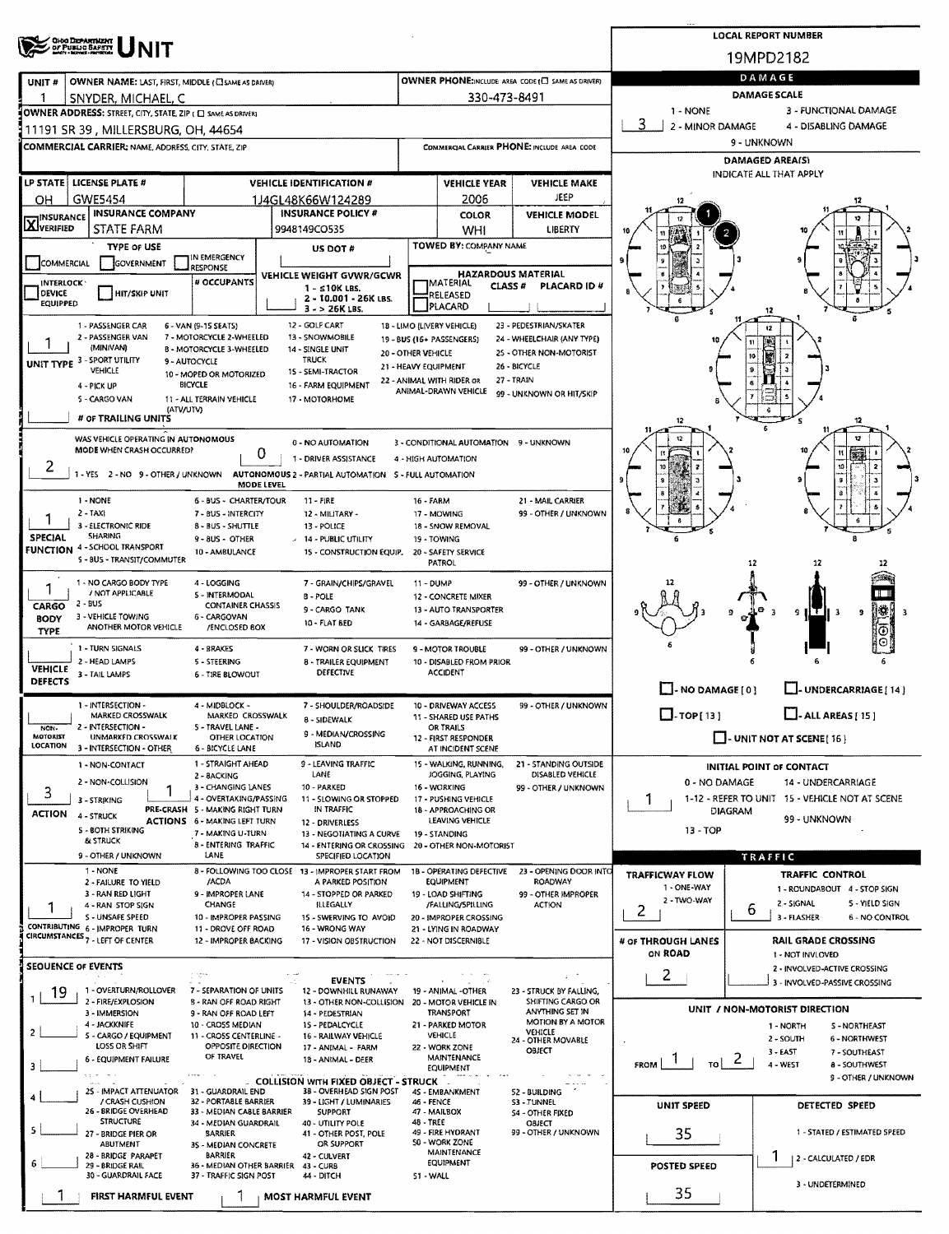|                                                                                                                 |                                                                                                                                                                                                                   | <b>LOCAL REPORT NUMBER</b>                |                                                         |                                                    |                               |                                                                             |  |  |  |  |  |
|-----------------------------------------------------------------------------------------------------------------|-------------------------------------------------------------------------------------------------------------------------------------------------------------------------------------------------------------------|-------------------------------------------|---------------------------------------------------------|----------------------------------------------------|-------------------------------|-----------------------------------------------------------------------------|--|--|--|--|--|
| <b>OHO DEPARTMENT</b><br>OF PUBLIC BAFETY                                                                       |                                                                                                                                                                                                                   |                                           |                                                         | 19MPD2182                                          |                               |                                                                             |  |  |  |  |  |
|                                                                                                                 |                                                                                                                                                                                                                   |                                           |                                                         | OWNER PHONE; INCLUDE AREA CODE (C) SAME AS DRIVER) | DAMAGE                        |                                                                             |  |  |  |  |  |
| OWNER NAME: LAST, FIRST, MIDDLE (CI SAME AS DRIVER)<br>UNIT#<br>-1<br>SNYDER, MICHAEL, C                        |                                                                                                                                                                                                                   |                                           | 330-473-8491                                            |                                                    | <b>DAMAGE SCALE</b>           |                                                                             |  |  |  |  |  |
| OWNER ADDRESS: STREET, CITY, STATE, ZIP ( C SAME AS DRIVER)                                                     |                                                                                                                                                                                                                   |                                           |                                                         |                                                    | 1 - NONE                      | 3 - FUNCTIONAL DAMAGE                                                       |  |  |  |  |  |
| 11191 SR 39, MILLERSBURG, OH, 44654                                                                             |                                                                                                                                                                                                                   |                                           |                                                         | 3<br>2 - MINOR DAMAGE                              | 4 - DISABLING DAMAGE          |                                                                             |  |  |  |  |  |
| COMMERCIAL CARRIER: NAME, ADDRESS, CITY, STATE, ZIP                                                             |                                                                                                                                                                                                                   |                                           |                                                         | <b>COMMERCIAL CARRIER PHONE: INCLUDE AREA CODE</b> | 9 - UNKNOWN                   |                                                                             |  |  |  |  |  |
|                                                                                                                 |                                                                                                                                                                                                                   |                                           |                                                         | DAMAGED AREA(S)<br>INDICATE ALL THAT APPLY         |                               |                                                                             |  |  |  |  |  |
| LP STATE LICENSE PLATE #                                                                                        |                                                                                                                                                                                                                   | <b>VEHICLE YEAR</b>                       | <b>VEHICLE MAKE</b>                                     |                                                    |                               |                                                                             |  |  |  |  |  |
| <b>GWE5454</b><br>ОН                                                                                            | 1J4GL48K66W124289                                                                                                                                                                                                 |                                           | 2006                                                    | JEEP                                               |                               |                                                                             |  |  |  |  |  |
| <b>INSURANCE COMPANY</b><br>INSURANCE<br><b>X</b> VERIFIED<br>STATE FARM                                        | <b>INSURANCE POLICY #</b><br>9948149CO535                                                                                                                                                                         |                                           | <b>COLOR</b><br>WHI                                     | <b>VEHICLE MODEL</b><br>LIBERTY                    |                               |                                                                             |  |  |  |  |  |
| TYPE OF USE                                                                                                     | US DOT#                                                                                                                                                                                                           |                                           | TOWED BY: COMPANY NAME                                  |                                                    |                               |                                                                             |  |  |  |  |  |
| IN EMERGENCY<br>COMMERCIAL<br>GOVERNMENT<br>RESPONSE                                                            |                                                                                                                                                                                                                   |                                           |                                                         |                                                    |                               |                                                                             |  |  |  |  |  |
| # OCCUPANTS<br><b>INTERLOCK</b>                                                                                 | VEHICLE WEIGHT GVWR/GCWR<br>$1 - s10K$ LBS.                                                                                                                                                                       |                                           | <b>HAZARDOUS MATERIAL</b><br> MATERIAL<br>CLASS #       | PLACARD ID #                                       |                               |                                                                             |  |  |  |  |  |
| DEVICE<br><b>HIT/SKIP UNIT</b><br>EQUIPPED                                                                      | 2 - 10.001 - 26K LBS.                                                                                                                                                                                             |                                           | RELEASED<br>PLACARD                                     |                                                    |                               |                                                                             |  |  |  |  |  |
| 1 - PASSENGER CAR                                                                                               | $3 - 26K$ LBS.<br>12 - GOLF CART                                                                                                                                                                                  |                                           |                                                         | 23 - PEDESTRIAN/SKATER                             |                               | 12                                                                          |  |  |  |  |  |
| 6 - VAN (9-15 SEATS)<br>2 - PASSENGER VAN<br>7 - MOTORCYCLE 2-WHEELED                                           | 13 - SNOWMOBILE                                                                                                                                                                                                   |                                           | 18 - LIMO (LIVERY VEHICLE)<br>19 - BUS (16+ PASSENGERS) | 24 - WHEELCHAIR (ANY TYPE)                         |                               | $12\phantom{.0}$                                                            |  |  |  |  |  |
| (MINIVAN)<br>B - MOTORCYCLE 3-WHEELED<br>UNIT TYPE 3 - SPORT UTILITY<br>9 - AUTOCYCLE                           | 14 - SINGLE UNIT<br><b>TRUCK</b>                                                                                                                                                                                  | 20 - OTHER VEHICLE                        |                                                         | 25 - OTHER NON-MOTORIST                            |                               | <b>ESTE</b><br>10                                                           |  |  |  |  |  |
| VEHICLE<br>10 - MOPED OR MOTORIZED                                                                              | 15 - SEMI-TRACTOR                                                                                                                                                                                                 | 21 - HEAVY EQUIPMENT                      | 22 - ANIMAL WITH RIDER OR                               | 26 - BICYCLE<br>27 - TRAIN                         |                               | $\mathbf{9}$                                                                |  |  |  |  |  |
| <b>BICYCLE</b><br>4 - PICK UP<br>5 - CARGO VAN<br>11 - ALL TERRAIN VEHICLE                                      | 16 - FARM EQUIPMENT<br>17 - MOTORHOME                                                                                                                                                                             |                                           | ANIMAL-DRAWN VEHICLE                                    | 99 - UNKNOWN OR HIT/SKIP                           |                               |                                                                             |  |  |  |  |  |
| (ATV/UTV)<br># OF TRAILING UNITS                                                                                |                                                                                                                                                                                                                   |                                           |                                                         |                                                    |                               | ē                                                                           |  |  |  |  |  |
|                                                                                                                 |                                                                                                                                                                                                                   |                                           |                                                         |                                                    |                               |                                                                             |  |  |  |  |  |
| WAS VEHICLE OPERATING IN AUTONOMOUS<br>MODE WHEN CRASH OCCURRED?                                                | <b>0 - NO AUTOMATION</b><br>υ                                                                                                                                                                                     |                                           | 3 - CONDITIONAL AUTOMATION 9 - UNKNOWN                  |                                                    |                               |                                                                             |  |  |  |  |  |
| 2                                                                                                               | 1 - DRIVER ASSISTANCE<br>1 - YES 2 - NO 9 - OTHER / UNKNOWN AUTONOMOUS 2 - PARTIAL AUTOMATION 5 - FULL AUTOMATION                                                                                                 |                                           | 4 - HIGH AUTOMATION                                     |                                                    |                               |                                                                             |  |  |  |  |  |
|                                                                                                                 | MODE LEVEL                                                                                                                                                                                                        |                                           |                                                         |                                                    |                               | 9                                                                           |  |  |  |  |  |
| 1 - NONE                                                                                                        | 6 - BUS - CHARTER/TOUR<br>$11 - FIRE$                                                                                                                                                                             | <b>16 - FARM</b>                          |                                                         | 21 - MAIL CARRIER                                  |                               |                                                                             |  |  |  |  |  |
| $2 - TAX1$<br>3 - ELECTRONIC RIDE<br>8 - BUS - SHUTTLE                                                          | 7 - BUS - INTERCITY<br>12 - MILITARY -<br>13 - POLICE                                                                                                                                                             |                                           | 17 - MOWING<br>18 - SNOW REMOVAL                        | 99 - OTHER / UNKNOWN                               |                               |                                                                             |  |  |  |  |  |
| SHARING<br>SPECIAL<br>9 - BUS - OTHER<br><b>FUNCTION 4 - SCHOOL TRANSPORT</b>                                   | $-14 - PUBLIC UTLITY$                                                                                                                                                                                             |                                           | 19 - TOWING                                             |                                                    |                               |                                                                             |  |  |  |  |  |
| 10 - AMBULANCE<br>5 - BUS - TRANSIT/COMMUTER                                                                    | 15 - CONSTRUCTION EQUIP.                                                                                                                                                                                          |                                           | 20 - SAFETY SERVICE<br>PATROL                           |                                                    |                               | 12<br>12                                                                    |  |  |  |  |  |
| 1 - NO CARGO BODY TYPE<br>4 - LOGGING                                                                           | 7 - GRAIN/CHIPS/GRAVEL                                                                                                                                                                                            | 11 - DUMP                                 |                                                         | 99 - OTHER / UNKNOWN                               |                               |                                                                             |  |  |  |  |  |
| 1<br>/ NOT APPLICABLE<br>5 - INTERMODAL<br>2 - BUS                                                              | B - POLE                                                                                                                                                                                                          |                                           | 12 - CONCRETE MIXER                                     |                                                    |                               |                                                                             |  |  |  |  |  |
| CARGO<br>3 - VEHICLE TOWING<br>6 - CARGOVAN<br><b>BODY</b>                                                      | <b>CONTAINER CHASSIS</b><br>9 - CARGO TANK                                                                                                                                                                        |                                           | 13 - AUTO TRANSPORTER                                   |                                                    |                               | 9 ILT II 3<br>٩                                                             |  |  |  |  |  |
| ANOTHER MOTOR VEHICLE<br><b>TYPE</b>                                                                            | 10 - FLAT BED<br>/ENCLOSED BOX                                                                                                                                                                                    |                                           | 14 - GARBAGE/REFUSE                                     |                                                    |                               |                                                                             |  |  |  |  |  |
| 1 - TURN SIGNALS<br>4 - BRAKES                                                                                  | 7 - WORN OR SLICK TIRES                                                                                                                                                                                           |                                           | <b>9 - MOTOR TROUBLE</b>                                | 99 - OTHER / UNKNOWN                               |                               |                                                                             |  |  |  |  |  |
| 2 - HEAD LAMPS<br><b>5 - STEERING</b><br><b>VEHICLE</b><br>3 - TAIL LAMPS<br><b>6 - TIRE BLOWOUT</b>            | 8 - TRAILER EQUIPMENT<br><b>DEFECTIVE</b>                                                                                                                                                                         |                                           | 10 - DISABLED FROM PRIOR<br><b>ACCIDENT</b>             |                                                    |                               |                                                                             |  |  |  |  |  |
| <b>DEFECTS</b>                                                                                                  |                                                                                                                                                                                                                   |                                           |                                                         |                                                    | $\Box$ - NO DAMAGE [ 0 ]      | L - UNDERCARRIAGE [ 14 ]                                                    |  |  |  |  |  |
| 1 - INTERSECTION -<br>4 - MIDBLOCK -<br>MARKED CROSSWALK                                                        | 7 - SHOULDER/ROADSIDE<br>MARKED CROSSWALK                                                                                                                                                                         |                                           | 10 - DRIVEWAY ACCESS<br>11 - SHARED USE PATHS           | 99 - OTHER / UNKNOWN                               | $\Box$ -TOP[13]               | $\Box$ - ALL AREAS [ 15 ]                                                   |  |  |  |  |  |
| 2 - INTERSECTION -<br>S - TRAVEL LANE -<br>NON-                                                                 | <b>8 - SIDEWALK</b><br>9 - MEDIAN/CROSSING                                                                                                                                                                        |                                           | OR TRAILS                                               |                                                    |                               |                                                                             |  |  |  |  |  |
| <b>MOTORIST</b><br>UNMARKED CROSSWALK<br><b>LOCATION</b><br>3 - INTERSECTION - OTHER<br><b>6 - BICYCLE LANE</b> | OTHER LOCATION<br><b>ISLAND</b>                                                                                                                                                                                   |                                           | 12 - FIRST RESPONDER<br>AT INCIDENT SCENE               |                                                    |                               | $\Box$ - UNIT NOT AT SCENE [ 16 ]                                           |  |  |  |  |  |
| 1 - NON-CONTACT                                                                                                 | 1 - STRAIGHT AHEAD<br>9 - LEAVING TRAFFIC                                                                                                                                                                         |                                           | 15 - WALKING, RUNNING,                                  | 21 - STANDING OUTSIDE                              |                               | INITIAL POINT OF CONTACT                                                    |  |  |  |  |  |
| 2 - BACKING<br>2 - NON-COLLISION                                                                                | LANE<br>3 - CHANGING LANES<br>10 - PARKED                                                                                                                                                                         |                                           | JOGGING, PLAYING<br>16 - WORKING                        | DISABLED VEHICLE<br>99 - OTHER / UNKNOWN           | 0 - NO DAMAGE                 | 14 - UNDERCARRIAGE                                                          |  |  |  |  |  |
| 3<br>3 - STRIKING                                                                                               | 4 - OVERTAKING/PASSING<br>1-12 - REFER TO UNIT 15 - VEHICLE NOT AT SCENE<br>11 - SLOWING OR STOPPED<br>17 - PUSHING VEHICLE<br>1<br>PRE-CRASH 5 MAKING RIGHT TURN<br>IN TRAFFIC<br>18 - APPROACHING OR<br>DIAGRAM |                                           |                                                         |                                                    |                               |                                                                             |  |  |  |  |  |
| <b>ACTION</b><br>4 - STRUCK<br><b>ACTIONS 6 - MAKING LEFT TURN</b>                                              | 12 - DRIVERLESS                                                                                                                                                                                                   | 99 - UNKNOWN                              |                                                         |                                                    |                               |                                                                             |  |  |  |  |  |
| 5 - BOTH STRIKING<br>& STRUCK                                                                                   | 7 - MAKING U-TURN<br>13 - NEGOTIATING A CURVE<br>8 - ENTERING TRAFFIC<br>14 - ENTERING OR CROSSING 20 - OTHER NON-MOTORIST                                                                                        |                                           | 19 - STANDING                                           |                                                    | 13 - TOP                      |                                                                             |  |  |  |  |  |
| LANE<br>9 - OTHER / UNKNOWN                                                                                     | SPECIFIED LOCATION                                                                                                                                                                                                |                                           |                                                         |                                                    |                               | TRAFFIC                                                                     |  |  |  |  |  |
| 1 - NONE<br>2 - FAILURE TO YIELD<br>/ACDA                                                                       | 8 - FOLLOWING TOO CLOSE 13 - IMPROPER START FROM<br>A PARKED POSITION                                                                                                                                             |                                           | <b>1B - OPERATING DEFECTIVE</b><br><b>EQUIPMENT</b>     | 23 - OPENING DOOR INTO<br><b>ROADWAY</b>           | <b>TRAFFICWAY FLOW</b>        | <b>TRAFFIC CONTROL</b>                                                      |  |  |  |  |  |
| 3 - RAN RED LIGHT                                                                                               | 9 - IMPROPER LANE<br>14 - STOPPED OR PARKED                                                                                                                                                                       |                                           | 19 - LOAD SHIFTING                                      | 99 - OTHER IMPROPER                                | 1 - ONE-WAY<br>2 - TWO-WAY    | 1 - ROUNDABOUT 4 - STOP SIGN<br>2 - SIGNAL<br>5 - YIELD SIGN                |  |  |  |  |  |
| CHANGE<br>4 - RAN STOP SIGN<br>S - UNSAFE SPEED                                                                 | ILLEGALLY<br>10 - IMPROPER PASSING<br>15 - SWERVING TO AVOID                                                                                                                                                      |                                           | /FALLING/SPILLING<br>20 - IMPROPER CROSSING             | <b>ACTION</b>                                      | 2                             | 6<br>3 - FLASHER<br><b>6 - NO CONTROL</b>                                   |  |  |  |  |  |
| CONTRIBUTING 6 - IMPROPER TURN<br>CIRCUMSTANCES <sub>7</sub> - LEFT OF CENTER                                   | 11 - DROVE OFF ROAD<br>16 - WRONG WAY                                                                                                                                                                             |                                           | 21 - LYING IN ROADWAY                                   |                                                    |                               |                                                                             |  |  |  |  |  |
|                                                                                                                 | 12 - IMPROPER BACKING<br>17 - VISION OBSTRUCTION                                                                                                                                                                  |                                           | 22 - NOT DISCERNIBLE                                    |                                                    | # OF THROUGH LANES<br>ON ROAD | <b>RAIL GRADE CROSSING</b><br>1 - NOT INVLOVED                              |  |  |  |  |  |
| <b>SEQUENCE OF EVENTS</b><br>s istor                                                                            |                                                                                                                                                                                                                   |                                           |                                                         |                                                    | $\overline{2}$                | 2 - INVOLVED-ACTIVE CROSSING                                                |  |  |  |  |  |
| 1 - OVERTURN/ROLLOVER<br>19                                                                                     | <b>EVENTS</b><br>7 - SEPARATION OF UNITS<br>12 - DOWNHILL RUNAWAY                                                                                                                                                 |                                           | 19 - ANIMAL -OTHER                                      | 23 - STRUCK BY FALLING,                            |                               | 3 - INVOLVED-PASSIVE CROSSING                                               |  |  |  |  |  |
| 2 - FIRE/EXPLOSION<br>3 - IMMERSION                                                                             | <b>B - RAN OFF ROAD RIGHT</b><br>13 - OTHER NON-COLLISION 20 - MOTOR VEHICLE IN<br>9 - RAN OFF ROAD LEFT<br>14 - PEDESTRIAN                                                                                       |                                           | TRANSPORT                                               | SHIFTING CARGO OR<br>ANYTHING SET IN               |                               | UNIT / NON-MOTORIST DIRECTION                                               |  |  |  |  |  |
| 4 - JACKKNIFE<br>10 - CROSS MEDIAN<br>2                                                                         | 15 - PEDALCYCLE                                                                                                                                                                                                   |                                           | 21 - PARKED MOTOR                                       | <b>MOTION BY A MOTOR</b><br>VEHICLE                |                               | 1 - NORTH<br><b>S-NORTHEAST</b>                                             |  |  |  |  |  |
| 5 - CARGO / EQUIPMENT<br>LOSS OR SHIFT                                                                          | 11 - CROSS CENTERLINE -<br>16 - RAILWAY VEHICLE<br>OPPOSITE DIRECTION<br>17 - ANIMAL - FARM                                                                                                                       |                                           | VEHICLE<br>22 - WORK ZONE                               | 24 - OTHER MOVABLE                                 |                               | 2 - SOUTH<br><b>6 - NORTHWEST</b>                                           |  |  |  |  |  |
| OF TRAVEL<br>6 - EQUIPMENT FAILURE<br>3                                                                         | 18 - ANIMAL - DEER                                                                                                                                                                                                | OBJECT<br><b>MAINTENANCE</b><br>EQUIPMENT |                                                         |                                                    | FROM<br>то∣                   | 3 - EAST<br>7 - SOUTHEAST<br>$\epsilon$<br>4 - WEST<br><b>8 - SOUTHWEST</b> |  |  |  |  |  |
|                                                                                                                 | <b>COLLISION WITH FIXED OBJECT - STRUCK</b>                                                                                                                                                                       |                                           |                                                         |                                                    |                               | 9 - OTHER / UNKNOWN                                                         |  |  |  |  |  |
| 31 - GUARDRAIL END<br>25 - IMPACT ATTENUATOR<br>/ CRASH CUSHION                                                 | 38 - OVERHEAD SIGN POST<br>32 - PORTABLE BARRIER<br>39 - LIGHT / LUMINARIES                                                                                                                                       | $46 - FENCE$                              | 4S - EMBANKMENT                                         | 52 - BUILDING<br>S3 - TUNNEL                       |                               |                                                                             |  |  |  |  |  |
| 26 - BRIDGE OVERHEAD<br><b>STRUCTURE</b>                                                                        | 33 - MEDIAN CABLE BARRIER<br><b>SUPPORT</b><br>34 - MEDIAN GUARDRAIL<br>40 - UTILITY POLE                                                                                                                         | 48 - TREE                                 | 47 - MAILBOX                                            | <b>S4 - OTHER FIXED</b><br>OBJECT                  | UNIT SPEED                    | DETECTED SPEED                                                              |  |  |  |  |  |
| 5<br>27 - BRIDGE PIER OR<br><b>BARRIER</b>                                                                      | 41 - OTHER POST, POLE                                                                                                                                                                                             |                                           | 49 - FIRE HYDRANT                                       | 99 - OTHER / UNKNOWN                               | 35                            | 1 - STATED / ESTIMATED SPEED                                                |  |  |  |  |  |
| ABUTMENT<br>28 - BRIDGE PARAPET<br><b>BARRIER</b>                                                               | OR SUPPORT<br>35 - MEDIAN CONCRETE<br>42 - CULVERT                                                                                                                                                                |                                           | 50 - WORK ZONE<br>MAINTENANCE                           |                                                    |                               | ı<br>2 - CALCULATED / EDR                                                   |  |  |  |  |  |
| 29 - BRIDGE RAIL<br>30 - GUARDRAIL FACE                                                                         | 36 - MEDIAN OTHER BARRIER<br>43 - CURB<br>37 - TRAFFIC SIGN POST<br>44 - DITCH                                                                                                                                    | SI-WALL                                   | <b>EQUIPMENT</b>                                        |                                                    | POSTED SPEED                  |                                                                             |  |  |  |  |  |
| <b>FIRST HARMFUL EVENT</b>                                                                                      | <b>MOST HARMFUL EVENT</b>                                                                                                                                                                                         |                                           |                                                         |                                                    | 35                            | 3 - UNDETERMINED                                                            |  |  |  |  |  |
|                                                                                                                 |                                                                                                                                                                                                                   |                                           |                                                         |                                                    |                               |                                                                             |  |  |  |  |  |